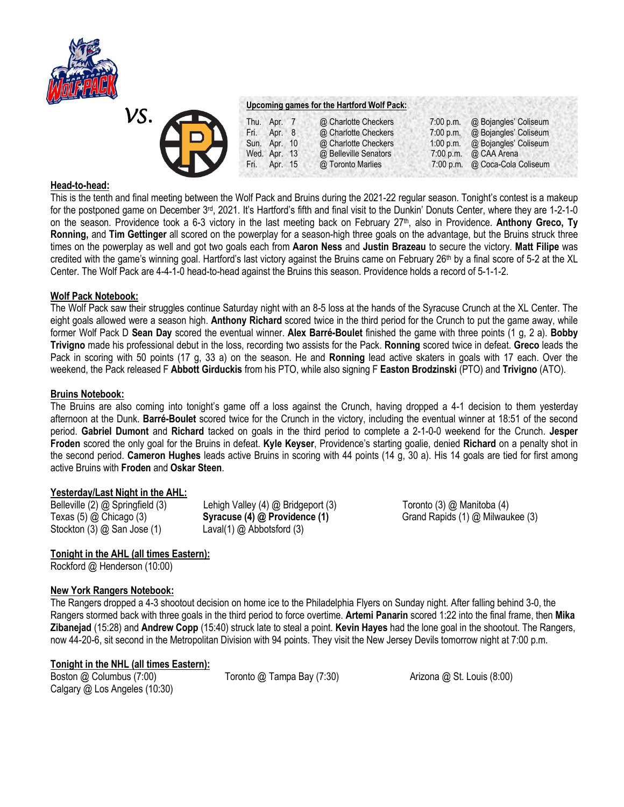

# *VS.*

### **Upcoming games for the Hartford Wolf Pack:**

| $\leftarrow$                        | Thu. Apr. 7  | @ Charlotte Checkers  | $7:00$ p.m. | @ Bojangles' Coliseum          |
|-------------------------------------|--------------|-----------------------|-------------|--------------------------------|
| $\blacktriangle$ D $\blacktriangle$ | Fri. Apr. 8  | @ Charlotte Checkers  | 7:00 p.m.   | @ Bojangles' Coliseum          |
|                                     | Sun. Apr. 10 | @ Charlotte Checkers  | $1:00$ p.m. | @ Bojangles' Coliseum          |
|                                     | Wed. Apr. 13 | @ Belleville Senators |             | 7:00 p.m. $\omega$ CAA Arena   |
| <b>LIV</b>                          | Fri. Apr. 15 | @ Toronto Marlies     |             | 7:00 p.m. @ Coca-Cola Coliseum |
|                                     |              |                       |             |                                |

# **Head-to-head:**

This is the tenth and final meeting between the Wolf Pack and Bruins during the 2021-22 regular season. Tonight's contest is a makeup for the postponed game on December 3<sup>rd</sup>, 2021. It's Hartford's fifth and final visit to the Dunkin' Donuts Center, where they are 1-2-1-0 on the season. Providence took a 6-3 victory in the last meeting back on February 27th, also in Providence. **Anthony Greco, Ty Ronning,** and **Tim Gettinger** all scored on the powerplay for a season-high three goals on the advantage, but the Bruins struck three times on the powerplay as well and got two goals each from **Aaron Ness** and **Justin Brazeau** to secure the victory. **Matt Filipe** was credited with the game's winning goal. Hartford's last victory against the Bruins came on February  $26<sup>th</sup>$  by a final score of 5-2 at the XL Center. The Wolf Pack are 4-4-1-0 head-to-head against the Bruins this season. Providence holds a record of 5-1-1-2.

## **Wolf Pack Notebook:**

The Wolf Pack saw their struggles continue Saturday night with an 8-5 loss at the hands of the Syracuse Crunch at the XL Center. The eight goals allowed were a season high. **Anthony Richard** scored twice in the third period for the Crunch to put the game away, while former Wolf Pack D **Sean Day** scored the eventual winner. **Alex Barré-Boulet** finished the game with three points (1 g, 2 a). **Bobby Trivigno** made his professional debut in the loss, recording two assists for the Pack. **Ronning** scored twice in defeat. **Greco** leads the Pack in scoring with 50 points (17 g, 33 a) on the season. He and **Ronning** lead active skaters in goals with 17 each. Over the weekend, the Pack released F **Abbott Girduckis** from his PTO, while also signing F **Easton Brodzinski** (PTO) and **Trivigno** (ATO).

## **Bruins Notebook:**

The Bruins are also coming into tonight's game off a loss against the Crunch, having dropped a 4-1 decision to them yesterday afternoon at the Dunk. **Barré-Boulet** scored twice for the Crunch in the victory, including the eventual winner at 18:51 of the second period. **Gabriel Dumont** and **Richard** tacked on goals in the third period to complete a 2-1-0-0 weekend for the Crunch. **Jesper Froden** scored the only goal for the Bruins in defeat. **Kyle Keyser**, Providence's starting goalie, denied **Richard** on a penalty shot in the second period. **Cameron Hughes** leads active Bruins in scoring with 44 points (14 g, 30 a). His 14 goals are tied for first among active Bruins with **Froden** and **Oskar Steen**.

## **Yesterday/Last Night in the AHL:**

| Belleville (2) @ Springfield (3)  | Lehigh Valley (4) @ Bridgeport (3) |
|-----------------------------------|------------------------------------|
| Texas $(5)$ $@$ Chicago $(3)$     | Syracuse (4) @ Providence (1)      |
| Stockton $(3)$ $@$ San Jose $(1)$ | Laval(1) $@$ Abbotsford (3)        |

## Toronto (3) @ Manitoba (4) Grand Rapids (1) @ Milwaukee (3)

## **Tonight in the AHL (all times Eastern):**

Rockford @ Henderson (10:00)

## **New York Rangers Notebook:**

The Rangers dropped a 4-3 shootout decision on home ice to the Philadelphia Flyers on Sunday night. After falling behind 3-0, the Rangers stormed back with three goals in the third period to force overtime. **Artemi Panarin** scored 1:22 into the final frame, then **Mika Zibanejad** (15:28) and **Andrew Copp** (15:40) struck late to steal a point. **Kevin Hayes** had the lone goal in the shootout. The Rangers, now 44-20-6, sit second in the Metropolitan Division with 94 points. They visit the New Jersey Devils tomorrow night at 7:00 p.m.

## **Tonight in the NHL (all times Eastern):**

Boston @ Columbus (7:00) Toronto @ Tampa Bay (7:30) Arizona @ St. Louis (8:00) Calgary @ Los Angeles (10:30)